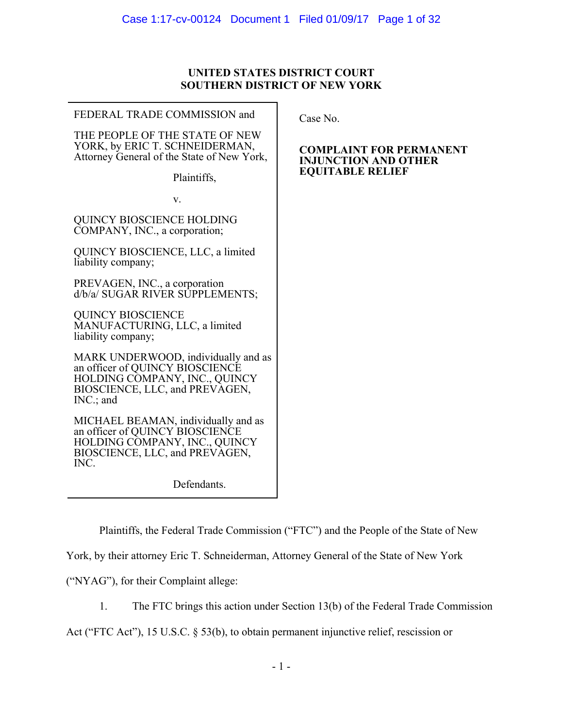### **UNITED STATES DISTRICT COURT SOUTHERN DISTRICT OF NEW YORK**

 $\blacksquare$ 

| FEDERAL TRADE COMMISSION and                                                                                                                             | Case No.                                         |
|----------------------------------------------------------------------------------------------------------------------------------------------------------|--------------------------------------------------|
| THE PEOPLE OF THE STATE OF NEW<br>YORK, by ERIC T. SCHNEIDERMAN,<br>Attorney General of the State of New York,                                           | COMPLAIN<br><b>INJUNCTIO</b><br><b>EQUITABLI</b> |
| Plaintiffs,                                                                                                                                              |                                                  |
| V.                                                                                                                                                       |                                                  |
| <b>QUINCY BIOSCIENCE HOLDING</b><br>COMPANY, INC., a corporation;                                                                                        |                                                  |
| QUINCY BIOSCIENCE, LLC, a limited<br>liability company;                                                                                                  |                                                  |
| PREVAGEN, INC., a corporation<br>d/b/a/ SUGAR RIVER SUPPLEMENTS;                                                                                         |                                                  |
| <b>QUINCY BIOSCIENCE</b><br>MANUFACTURING, LLC, a limited<br>liability company;                                                                          |                                                  |
| MARK UNDERWOOD, individually and as<br>an officer of QUINCY BIOSCIENCE<br>HOLDING COMPANY, INC., QUINCY<br>BIOSCIENCE, LLC, and PREVAGEN,<br>$INC$ ; and |                                                  |
| MICHAEL BEAMAN, individually and as<br>an officer of QUINCY BIOSCIENCE<br>HOLDING COMPANY, INC., QUINCY<br>BIOSCIENCE, LLC, and PREVAGEN,<br>INC.        |                                                  |
| Defendants.                                                                                                                                              |                                                  |
|                                                                                                                                                          |                                                  |

### **T FOR PERMANENT IN AND OTHER E RELIEF**

Plaintiffs, the Federal Trade Commission ("FTC") and the People of the State of New

York, by their attorney Eric T. Schneiderman, Attorney General of the State of New York

("NYAG"), for their Complaint allege:

1. The FTC brings this action under Section 13(b) of the Federal Trade Commission

Act ("FTC Act"), 15 U.S.C. § 53(b), to obtain permanent injunctive relief, rescission or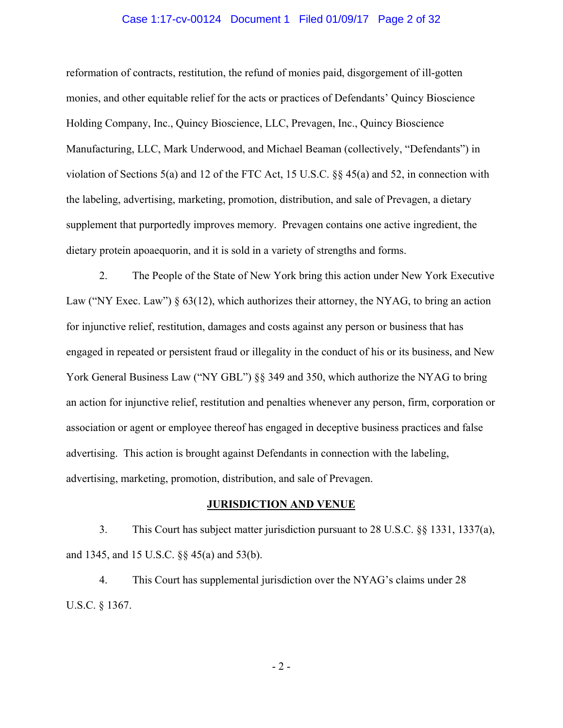### Case 1:17-cv-00124 Document 1 Filed 01/09/17 Page 2 of 32

reformation of contracts, restitution, the refund of monies paid, disgorgement of ill-gotten monies, and other equitable relief for the acts or practices of Defendants' Quincy Bioscience Holding Company, Inc., Quincy Bioscience, LLC, Prevagen, Inc., Quincy Bioscience Manufacturing, LLC, Mark Underwood, and Michael Beaman (collectively, "Defendants") in violation of Sections 5(a) and 12 of the FTC Act, 15 U.S.C. §§ 45(a) and 52, in connection with the labeling, advertising, marketing, promotion, distribution, and sale of Prevagen, a dietary supplement that purportedly improves memory. Prevagen contains one active ingredient, the dietary protein apoaequorin, and it is sold in a variety of strengths and forms.

2. The People of the State of New York bring this action under New York Executive Law ("NY Exec. Law") § 63(12), which authorizes their attorney, the NYAG, to bring an action for injunctive relief, restitution, damages and costs against any person or business that has engaged in repeated or persistent fraud or illegality in the conduct of his or its business, and New York General Business Law ("NY GBL") §§ 349 and 350, which authorize the NYAG to bring an action for injunctive relief, restitution and penalties whenever any person, firm, corporation or association or agent or employee thereof has engaged in deceptive business practices and false advertising. This action is brought against Defendants in connection with the labeling, advertising, marketing, promotion, distribution, and sale of Prevagen.

### **JURISDICTION AND VENUE**

3. This Court has subject matter jurisdiction pursuant to 28 U.S.C. §§ 1331, 1337(a), and 1345, and 15 U.S.C. §§ 45(a) and 53(b).

4. This Court has supplemental jurisdiction over the NYAG's claims under 28 U.S.C. § 1367.

- 2 -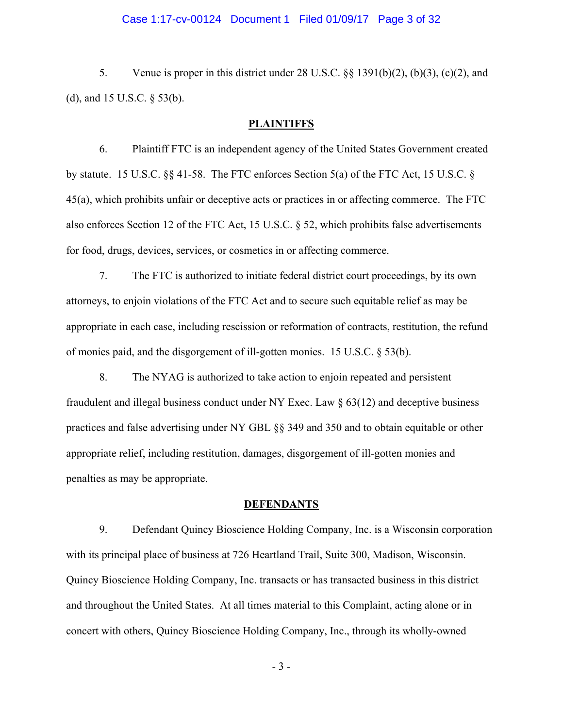### Case 1:17-cv-00124 Document 1 Filed 01/09/17 Page 3 of 32

5. Venue is proper in this district under 28 U.S.C. §§ 1391(b)(2), (b)(3), (c)(2), and (d), and 15 U.S.C. § 53(b).

### **PLAINTIFFS**

6. Plaintiff FTC is an independent agency of the United States Government created by statute. 15 U.S.C. §§ 41-58. The FTC enforces Section 5(a) of the FTC Act, 15 U.S.C. § 45(a), which prohibits unfair or deceptive acts or practices in or affecting commerce. The FTC also enforces Section 12 of the FTC Act, 15 U.S.C. § 52, which prohibits false advertisements for food, drugs, devices, services, or cosmetics in or affecting commerce.

7. The FTC is authorized to initiate federal district court proceedings, by its own attorneys, to enjoin violations of the FTC Act and to secure such equitable relief as may be appropriate in each case, including rescission or reformation of contracts, restitution, the refund of monies paid, and the disgorgement of ill-gotten monies. 15 U.S.C. § 53(b).

8. The NYAG is authorized to take action to enjoin repeated and persistent fraudulent and illegal business conduct under NY Exec. Law  $\S$  63(12) and deceptive business practices and false advertising under NY GBL §§ 349 and 350 and to obtain equitable or other appropriate relief, including restitution, damages, disgorgement of ill-gotten monies and penalties as may be appropriate.

#### **DEFENDANTS**

9. Defendant Quincy Bioscience Holding Company, Inc. is a Wisconsin corporation with its principal place of business at 726 Heartland Trail, Suite 300, Madison, Wisconsin. Quincy Bioscience Holding Company, Inc. transacts or has transacted business in this district and throughout the United States. At all times material to this Complaint, acting alone or in concert with others, Quincy Bioscience Holding Company, Inc., through its wholly-owned

- 3 -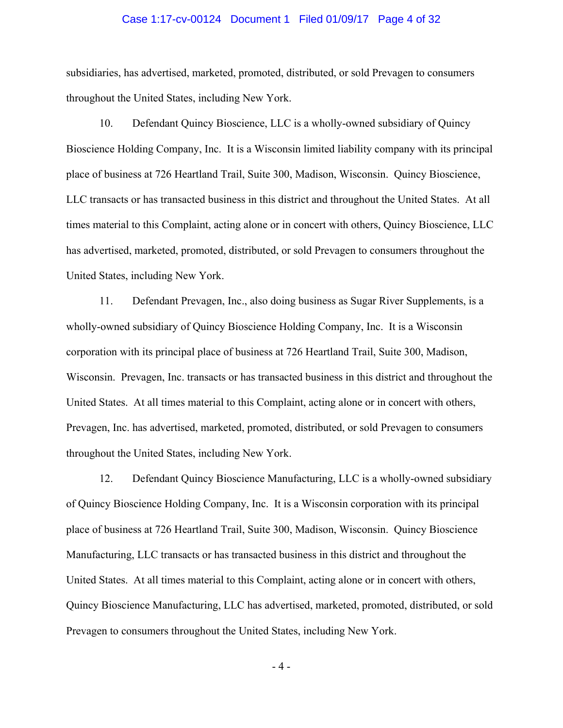### Case 1:17-cv-00124 Document 1 Filed 01/09/17 Page 4 of 32

subsidiaries, has advertised, marketed, promoted, distributed, or sold Prevagen to consumers throughout the United States, including New York.

10. Defendant Quincy Bioscience, LLC is a wholly-owned subsidiary of Quincy Bioscience Holding Company, Inc. It is a Wisconsin limited liability company with its principal place of business at 726 Heartland Trail, Suite 300, Madison, Wisconsin. Quincy Bioscience, LLC transacts or has transacted business in this district and throughout the United States. At all times material to this Complaint, acting alone or in concert with others, Quincy Bioscience, LLC has advertised, marketed, promoted, distributed, or sold Prevagen to consumers throughout the United States, including New York.

11. Defendant Prevagen, Inc., also doing business as Sugar River Supplements, is a wholly-owned subsidiary of Quincy Bioscience Holding Company, Inc. It is a Wisconsin corporation with its principal place of business at 726 Heartland Trail, Suite 300, Madison, Wisconsin. Prevagen, Inc. transacts or has transacted business in this district and throughout the United States. At all times material to this Complaint, acting alone or in concert with others, Prevagen, Inc. has advertised, marketed, promoted, distributed, or sold Prevagen to consumers throughout the United States, including New York.

12. Defendant Quincy Bioscience Manufacturing, LLC is a wholly-owned subsidiary of Quincy Bioscience Holding Company, Inc. It is a Wisconsin corporation with its principal place of business at 726 Heartland Trail, Suite 300, Madison, Wisconsin. Quincy Bioscience Manufacturing, LLC transacts or has transacted business in this district and throughout the United States. At all times material to this Complaint, acting alone or in concert with others, Quincy Bioscience Manufacturing, LLC has advertised, marketed, promoted, distributed, or sold Prevagen to consumers throughout the United States, including New York.

- 4 -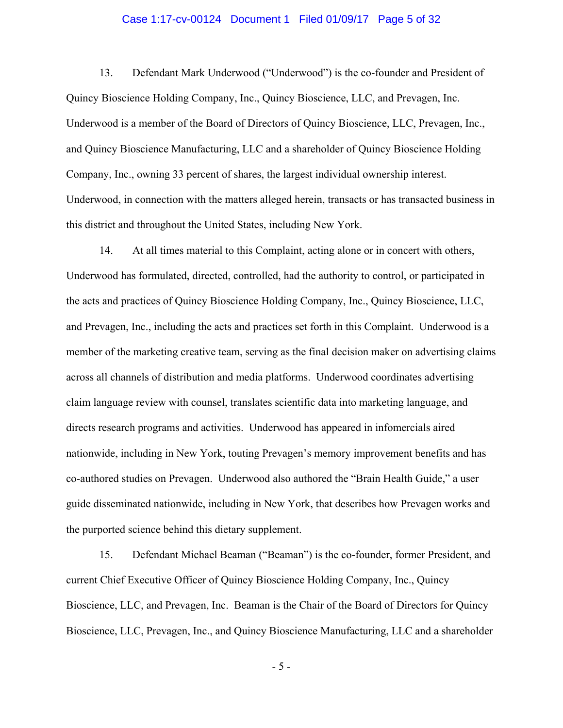### Case 1:17-cv-00124 Document 1 Filed 01/09/17 Page 5 of 32

13. Defendant Mark Underwood ("Underwood") is the co-founder and President of Quincy Bioscience Holding Company, Inc., Quincy Bioscience, LLC, and Prevagen, Inc. Underwood is a member of the Board of Directors of Quincy Bioscience, LLC, Prevagen, Inc., and Quincy Bioscience Manufacturing, LLC and a shareholder of Quincy Bioscience Holding Company, Inc., owning 33 percent of shares, the largest individual ownership interest. Underwood, in connection with the matters alleged herein, transacts or has transacted business in this district and throughout the United States, including New York.

14. At all times material to this Complaint, acting alone or in concert with others, Underwood has formulated, directed, controlled, had the authority to control, or participated in the acts and practices of Quincy Bioscience Holding Company, Inc., Quincy Bioscience, LLC, and Prevagen, Inc., including the acts and practices set forth in this Complaint. Underwood is a member of the marketing creative team, serving as the final decision maker on advertising claims across all channels of distribution and media platforms. Underwood coordinates advertising claim language review with counsel, translates scientific data into marketing language, and directs research programs and activities. Underwood has appeared in infomercials aired nationwide, including in New York, touting Prevagen's memory improvement benefits and has co-authored studies on Prevagen. Underwood also authored the "Brain Health Guide," a user guide disseminated nationwide, including in New York, that describes how Prevagen works and the purported science behind this dietary supplement.

15. Defendant Michael Beaman ("Beaman") is the co-founder, former President, and current Chief Executive Officer of Quincy Bioscience Holding Company, Inc., Quincy Bioscience, LLC, and Prevagen, Inc. Beaman is the Chair of the Board of Directors for Quincy Bioscience, LLC, Prevagen, Inc., and Quincy Bioscience Manufacturing, LLC and a shareholder

- 5 -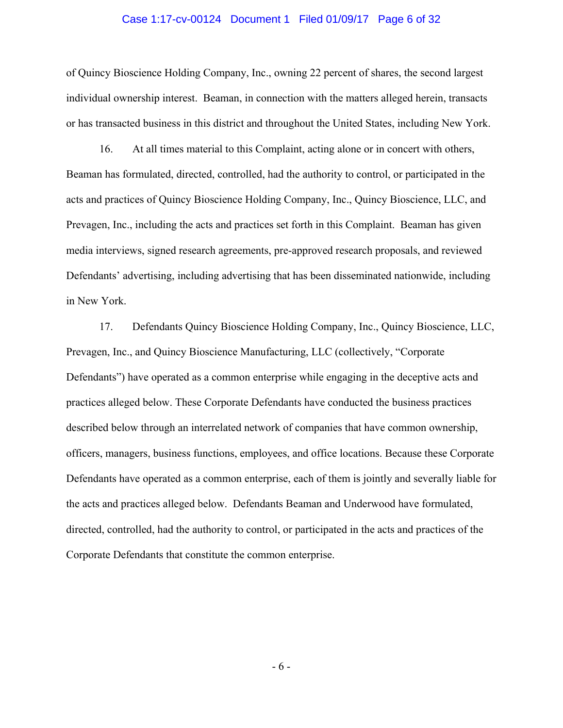### Case 1:17-cv-00124 Document 1 Filed 01/09/17 Page 6 of 32

of Quincy Bioscience Holding Company, Inc., owning 22 percent of shares, the second largest individual ownership interest. Beaman, in connection with the matters alleged herein, transacts or has transacted business in this district and throughout the United States, including New York.

16. At all times material to this Complaint, acting alone or in concert with others, Beaman has formulated, directed, controlled, had the authority to control, or participated in the acts and practices of Quincy Bioscience Holding Company, Inc., Quincy Bioscience, LLC, and Prevagen, Inc., including the acts and practices set forth in this Complaint. Beaman has given media interviews, signed research agreements, pre-approved research proposals, and reviewed Defendants' advertising, including advertising that has been disseminated nationwide, including in New York.

17. Defendants Quincy Bioscience Holding Company, Inc., Quincy Bioscience, LLC, Prevagen, Inc., and Quincy Bioscience Manufacturing, LLC (collectively, "Corporate Defendants") have operated as a common enterprise while engaging in the deceptive acts and practices alleged below. These Corporate Defendants have conducted the business practices described below through an interrelated network of companies that have common ownership, officers, managers, business functions, employees, and office locations. Because these Corporate Defendants have operated as a common enterprise, each of them is jointly and severally liable for the acts and practices alleged below. Defendants Beaman and Underwood have formulated, directed, controlled, had the authority to control, or participated in the acts and practices of the Corporate Defendants that constitute the common enterprise.

- 6 -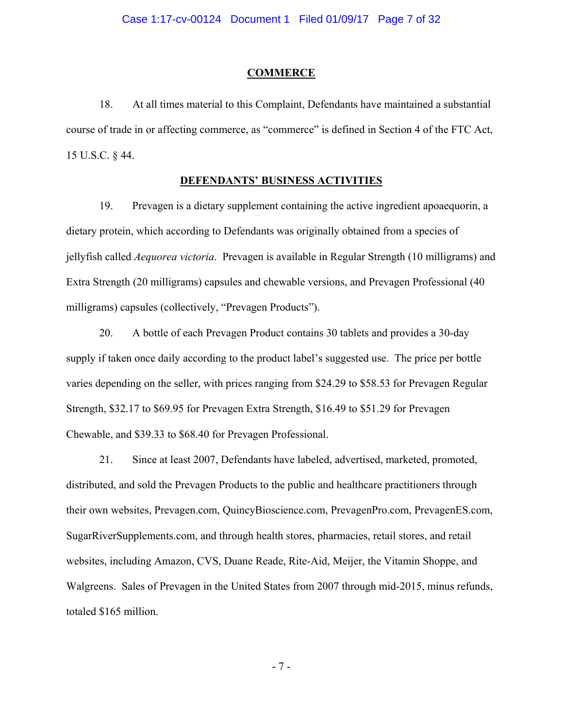### **COMMERCE**

18. At all times material to this Complaint, Defendants have maintained a substantial course of trade in or affecting commerce, as "commerce" is defined in Section 4 of the FTC Act, 15 U.S.C. § 44.

### **DEFENDANTS' BUSINESS ACTIVITIES**

19. Prevagen is a dietary supplement containing the active ingredient apoaequorin, a dietary protein, which according to Defendants was originally obtained from a species of jellyfish called *Aequorea victoria*. Prevagen is available in Regular Strength (10 milligrams) and Extra Strength (20 milligrams) capsules and chewable versions, and Prevagen Professional (40 milligrams) capsules (collectively, "Prevagen Products").

20. A bottle of each Prevagen Product contains 30 tablets and provides a 30-day supply if taken once daily according to the product label's suggested use. The price per bottle varies depending on the seller, with prices ranging from \$24.29 to \$58.53 for Prevagen Regular Strength, \$32.17 to \$69.95 for Prevagen Extra Strength, \$16.49 to \$51.29 for Prevagen Chewable, and \$39.33 to \$68.40 for Prevagen Professional.

21. Since at least 2007, Defendants have labeled, advertised, marketed, promoted, distributed, and sold the Prevagen Products to the public and healthcare practitioners through their own websites, Prevagen.com, QuincyBioscience.com, PrevagenPro.com, PrevagenES.com, SugarRiverSupplements.com, and through health stores, pharmacies, retail stores, and retail websites, including Amazon, CVS, Duane Reade, Rite-Aid, Meijer, the Vitamin Shoppe, and Walgreens. Sales of Prevagen in the United States from 2007 through mid-2015, minus refunds, totaled \$165 million.

- 7 -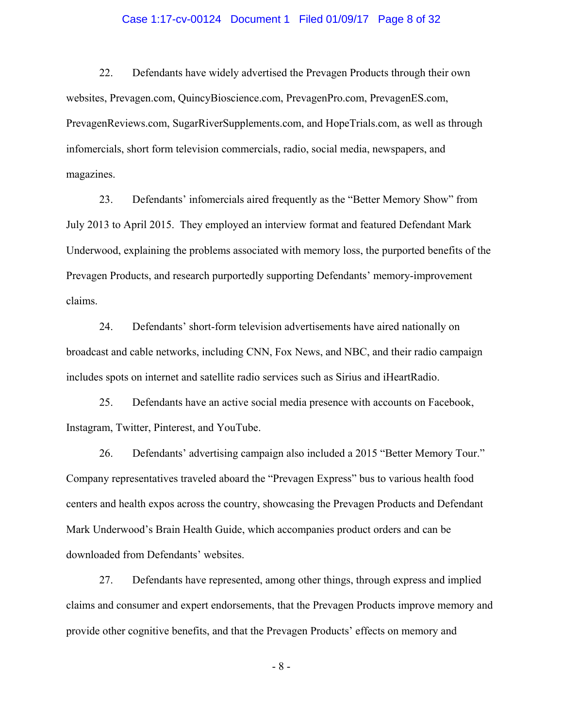### Case 1:17-cv-00124 Document 1 Filed 01/09/17 Page 8 of 32

22. Defendants have widely advertised the Prevagen Products through their own websites, Prevagen.com, QuincyBioscience.com, PrevagenPro.com, PrevagenES.com, PrevagenReviews.com, SugarRiverSupplements.com, and HopeTrials.com, as well as through infomercials, short form television commercials, radio, social media, newspapers, and magazines.

23. Defendants' infomercials aired frequently as the "Better Memory Show" from July 2013 to April 2015. They employed an interview format and featured Defendant Mark Underwood, explaining the problems associated with memory loss, the purported benefits of the Prevagen Products, and research purportedly supporting Defendants' memory-improvement claims.

24. Defendants' short-form television advertisements have aired nationally on broadcast and cable networks, including CNN, Fox News, and NBC, and their radio campaign includes spots on internet and satellite radio services such as Sirius and iHeartRadio.

25. Defendants have an active social media presence with accounts on Facebook, Instagram, Twitter, Pinterest, and YouTube.

26. Defendants' advertising campaign also included a 2015 "Better Memory Tour." Company representatives traveled aboard the "Prevagen Express" bus to various health food centers and health expos across the country, showcasing the Prevagen Products and Defendant Mark Underwood's Brain Health Guide, which accompanies product orders and can be downloaded from Defendants' websites.

27. Defendants have represented, among other things, through express and implied claims and consumer and expert endorsements, that the Prevagen Products improve memory and provide other cognitive benefits, and that the Prevagen Products' effects on memory and

- 8 -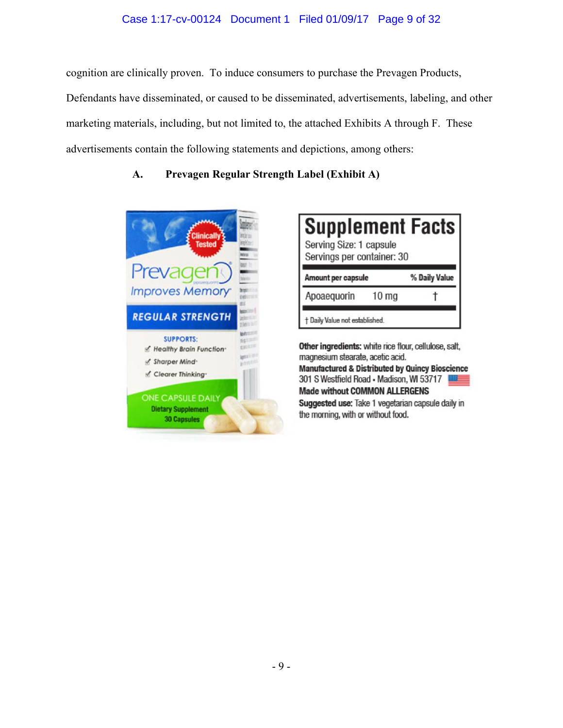### Case 1:17-cv-00124 Document 1 Filed 01/09/17 Page 9 of 32

cognition are clinically proven. To induce consumers to purchase the Prevagen Products, Defendants have disseminated, or caused to be disseminated, advertisements, labeling, and other marketing materials, including, but not limited to, the attached Exhibits A through F. These advertisements contain the following statements and depictions, among others:

# **A. Prevagen Regular Strength Label (Exhibit A)**



| <b>Supplement Facts</b><br>Serving Size: 1 capsule<br>Servings per container: 30 |                  |               |
|----------------------------------------------------------------------------------|------------------|---------------|
| Amount per capsule                                                               |                  | % Daily Value |
| Apoaequorin                                                                      | 10 <sub>mg</sub> |               |
| t Daily Value not established.                                                   |                  |               |

Other ingredients: white rice flour, cellulose, salt, magnesium stearate, acetic acid. **Manufactured & Distributed by Quincy Bioscience** 301 S Westfield Road - Madison, WI 53717 **Made without COMMON ALLERGENS** Suggested use: Take 1 vegetarian capsule daily in the morning, with or without food.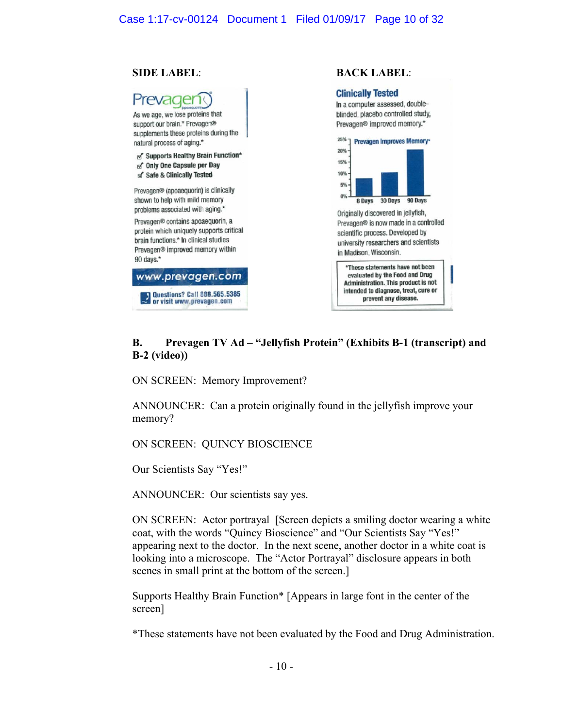### Case 1:17-cv-00124 Document 1 Filed 01/09/17 Page 10 of 32

### **SIDE LABEL**: **BACK LABEL**:



### **B. Prevagen TV Ad – "Jellyfish Protein" (Exhibits B-1 (transcript) and B-2 (video))**

ON SCREEN: Memory Improvement?

ANNOUNCER: Can a protein originally found in the jellyfish improve your memory?

ON SCREEN: QUINCY BIOSCIENCE

Our Scientists Say "Yes!"

ANNOUNCER: Our scientists say yes.

ON SCREEN: Actor portrayal [Screen depicts a smiling doctor wearing a white coat, with the words "Quincy Bioscience" and "Our Scientists Say "Yes!" appearing next to the doctor. In the next scene, another doctor in a white coat is looking into a microscope. The "Actor Portrayal" disclosure appears in both scenes in small print at the bottom of the screen.]

Supports Healthy Brain Function\* [Appears in large font in the center of the screen]

\*These statements have not been evaluated by the Food and Drug Administration.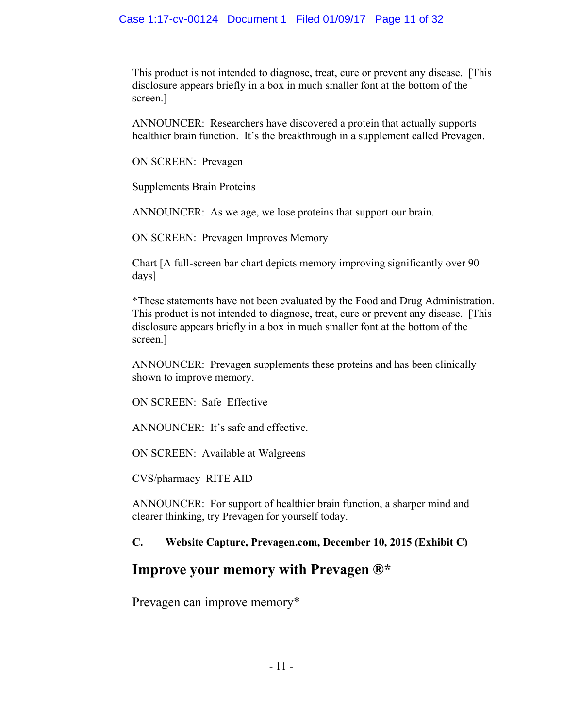This product is not intended to diagnose, treat, cure or prevent any disease. [This disclosure appears briefly in a box in much smaller font at the bottom of the screen.]

ANNOUNCER: Researchers have discovered a protein that actually supports healthier brain function. It's the breakthrough in a supplement called Prevagen.

ON SCREEN: Prevagen

Supplements Brain Proteins

ANNOUNCER: As we age, we lose proteins that support our brain.

ON SCREEN: Prevagen Improves Memory

Chart [A full-screen bar chart depicts memory improving significantly over 90 days]

\*These statements have not been evaluated by the Food and Drug Administration. This product is not intended to diagnose, treat, cure or prevent any disease. [This disclosure appears briefly in a box in much smaller font at the bottom of the screen.]

ANNOUNCER: Prevagen supplements these proteins and has been clinically shown to improve memory.

ON SCREEN: Safe Effective

ANNOUNCER: It's safe and effective.

ON SCREEN: Available at Walgreens

CVS/pharmacy RITE AID

ANNOUNCER: For support of healthier brain function, a sharper mind and clearer thinking, try Prevagen for yourself today.

## **C. Website Capture, Prevagen.com, December 10, 2015 (Exhibit C)**

# **Improve your memory with Prevagen ®\***

Prevagen can improve memory\*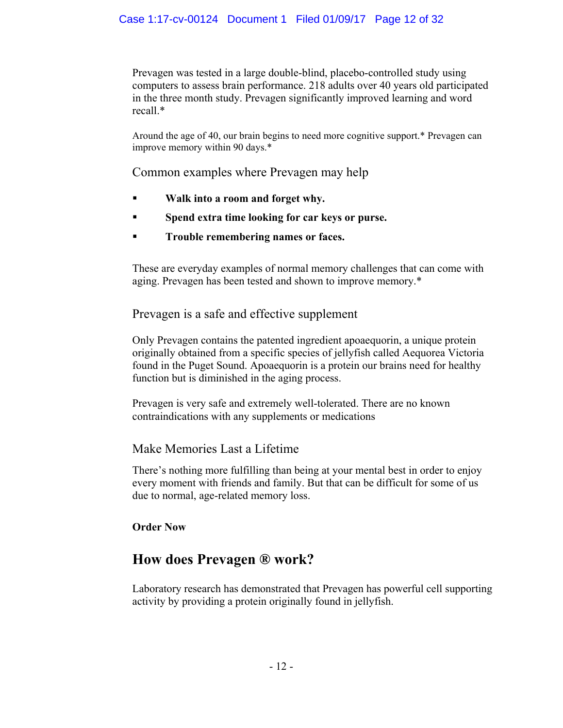Prevagen was tested in a large double-blind, placebo-controlled study using computers to assess brain performance. 218 adults over 40 years old participated in the three month study. Prevagen significantly improved learning and word recall.\*

Around the age of 40, our brain begins to need more cognitive support.\* Prevagen can improve memory within 90 days.\*

Common examples where Prevagen may help

- **Walk into a room and forget why.**
- **Spend extra time looking for car keys or purse.**
- **Trouble remembering names or faces.**

These are everyday examples of normal memory challenges that can come with aging. Prevagen has been tested and shown to improve memory.\*

Prevagen is a safe and effective supplement

Only Prevagen contains the patented ingredient apoaequorin, a unique protein originally obtained from a specific species of jellyfish called Aequorea Victoria found in the Puget Sound. Apoaequorin is a protein our brains need for healthy function but is diminished in the aging process.

Prevagen is very safe and extremely well-tolerated. There are no known contraindications with any supplements or medications

# Make Memories Last a Lifetime

There's nothing more fulfilling than being at your mental best in order to enjoy every moment with friends and family. But that can be difficult for some of us due to normal, age-related memory loss.

# **Order Now**

# **How does Prevagen ® work?**

Laboratory research has demonstrated that Prevagen has powerful cell supporting activity by providing a protein originally found in jellyfish.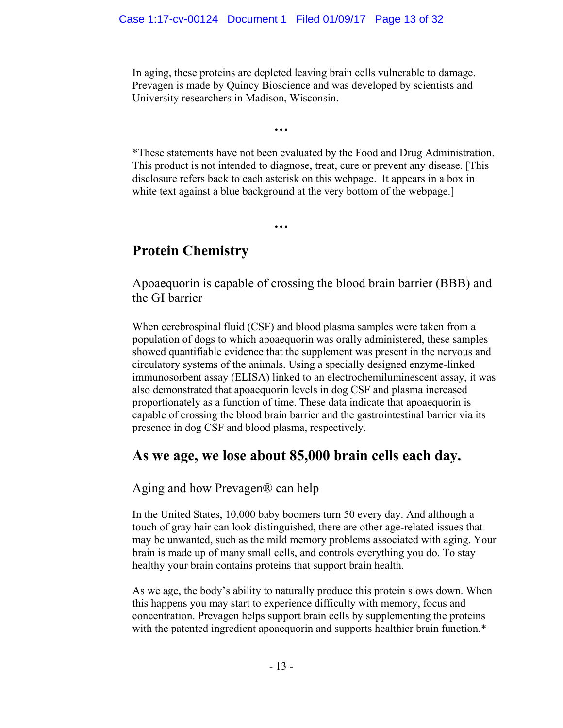In aging, these proteins are depleted leaving brain cells vulnerable to damage. Prevagen is made by Quincy Bioscience and was developed by scientists and University researchers in Madison, Wisconsin.

**…** 

\*These statements have not been evaluated by the Food and Drug Administration. This product is not intended to diagnose, treat, cure or prevent any disease. [This disclosure refers back to each asterisk on this webpage. It appears in a box in white text against a blue background at the very bottom of the webpage.

**…** 

# **Protein Chemistry**

Apoaequorin is capable of crossing the blood brain barrier (BBB) and the GI barrier

When cerebrospinal fluid (CSF) and blood plasma samples were taken from a population of dogs to which apoaequorin was orally administered, these samples showed quantifiable evidence that the supplement was present in the nervous and circulatory systems of the animals. Using a specially designed enzyme-linked immunosorbent assay (ELISA) linked to an electrochemiluminescent assay, it was also demonstrated that apoaequorin levels in dog CSF and plasma increased proportionately as a function of time. These data indicate that apoaequorin is capable of crossing the blood brain barrier and the gastrointestinal barrier via its presence in dog CSF and blood plasma, respectively.

# **As we age, we lose about 85,000 brain cells each day.**

Aging and how Prevagen® can help

In the United States, 10,000 baby boomers turn 50 every day. And although a touch of gray hair can look distinguished, there are other age-related issues that may be unwanted, such as the mild memory problems associated with aging. Your brain is made up of many small cells, and controls everything you do. To stay healthy your brain contains proteins that support brain health.

As we age, the body's ability to naturally produce this protein slows down. When this happens you may start to experience difficulty with memory, focus and concentration. Prevagen helps support brain cells by supplementing the proteins with the patented ingredient apoaequorin and supports healthier brain function.\*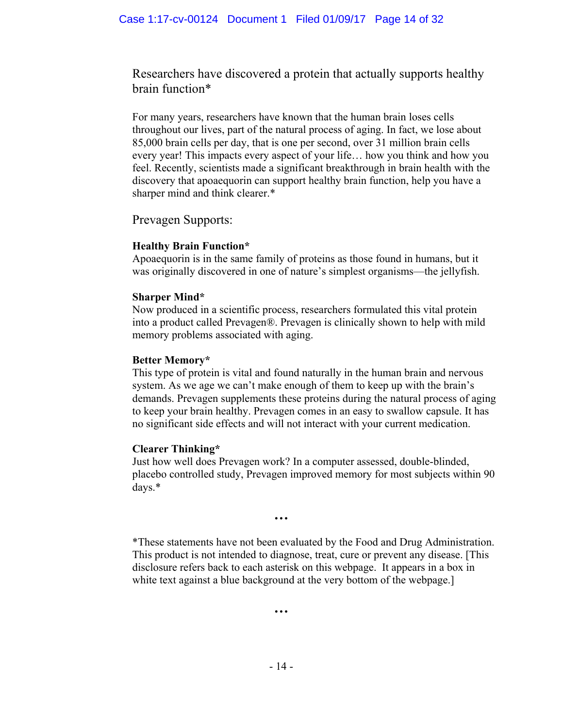Researchers have discovered a protein that actually supports healthy brain function\*

For many years, researchers have known that the human brain loses cells throughout our lives, part of the natural process of aging. In fact, we lose about 85,000 brain cells per day, that is one per second, over 31 million brain cells every year! This impacts every aspect of your life… how you think and how you feel. Recently, scientists made a significant breakthrough in brain health with the discovery that apoaequorin can support healthy brain function, help you have a sharper mind and think clearer.\*

Prevagen Supports:

# **Healthy Brain Function\***

Apoaequorin is in the same family of proteins as those found in humans, but it was originally discovered in one of nature's simplest organisms—the jellyfish.

# **Sharper Mind\***

Now produced in a scientific process, researchers formulated this vital protein into a product called Prevagen®. Prevagen is clinically shown to help with mild memory problems associated with aging.

# **Better Memory\***

This type of protein is vital and found naturally in the human brain and nervous system. As we age we can't make enough of them to keep up with the brain's demands. Prevagen supplements these proteins during the natural process of aging to keep your brain healthy. Prevagen comes in an easy to swallow capsule. It has no significant side effects and will not interact with your current medication.

## **Clearer Thinking\***

Just how well does Prevagen work? In a computer assessed, double-blinded, placebo controlled study, Prevagen improved memory for most subjects within 90 days.\*

\*These statements have not been evaluated by the Food and Drug Administration. This product is not intended to diagnose, treat, cure or prevent any disease. [This disclosure refers back to each asterisk on this webpage. It appears in a box in white text against a blue background at the very bottom of the webpage.

**…** 

**…**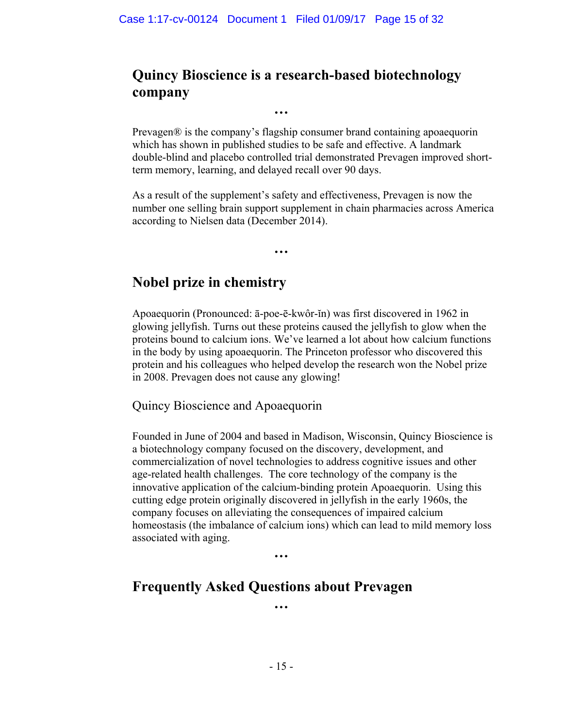**…** 

**…** 

# **Quincy Bioscience is a research-based biotechnology company**

Prevagen® is the company's flagship consumer brand containing apoaequorin which has shown in published studies to be safe and effective. A landmark double-blind and placebo controlled trial demonstrated Prevagen improved shortterm memory, learning, and delayed recall over 90 days.

As a result of the supplement's safety and effectiveness, Prevagen is now the number one selling brain support supplement in chain pharmacies across America according to Nielsen data (December 2014).

# **Nobel prize in chemistry**

Apoaequorin (Pronounced: ā-poe-ē-kwôr-ĭn) was first discovered in 1962 in glowing jellyfish. Turns out these proteins caused the jellyfish to glow when the proteins bound to calcium ions. We've learned a lot about how calcium functions in the body by using apoaequorin. The Princeton professor who discovered this protein and his colleagues who helped develop the research won the Nobel prize in 2008. Prevagen does not cause any glowing!

# Quincy Bioscience and Apoaequorin

Founded in June of 2004 and based in Madison, Wisconsin, Quincy Bioscience is a biotechnology company focused on the discovery, development, and commercialization of novel technologies to address cognitive issues and other age-related health challenges. The core technology of the company is the innovative application of the calcium-binding protein Apoaequorin. Using this cutting edge protein originally discovered in jellyfish in the early 1960s, the company focuses on alleviating the consequences of impaired calcium homeostasis (the imbalance of calcium ions) which can lead to mild memory loss associated with aging.

**…** 

# **Frequently Asked Questions about Prevagen**

**…**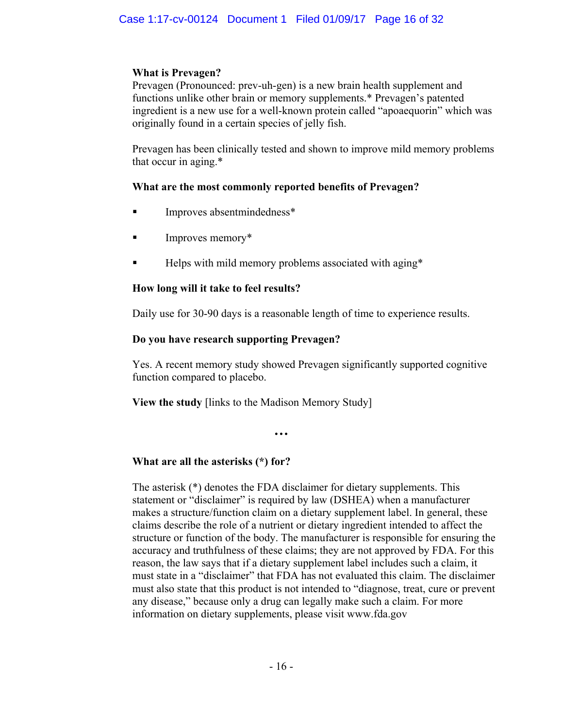## **What is Prevagen?**

Prevagen (Pronounced: prev-uh-gen) is a new brain health supplement and functions unlike other brain or memory supplements.\* Prevagen's patented ingredient is a new use for a well-known protein called "apoaequorin" which was originally found in a certain species of jelly fish.

Prevagen has been clinically tested and shown to improve mild memory problems that occur in aging.\*

# **What are the most commonly reported benefits of Prevagen?**

- **Improves absentmindedness\***
- Improves memory\*
- Helps with mild memory problems associated with aging\*

# **How long will it take to feel results?**

Daily use for 30-90 days is a reasonable length of time to experience results.

# **Do you have research supporting Prevagen?**

Yes. A recent memory study showed Prevagen significantly supported cognitive function compared to placebo.

**View the study** [links to the Madison Memory Study]

**…** 

# **What are all the asterisks (\*) for?**

The asterisk (\*) denotes the FDA disclaimer for dietary supplements. This statement or "disclaimer" is required by law (DSHEA) when a manufacturer makes a structure/function claim on a dietary supplement label. In general, these claims describe the role of a nutrient or dietary ingredient intended to affect the structure or function of the body. The manufacturer is responsible for ensuring the accuracy and truthfulness of these claims; they are not approved by FDA. For this reason, the law says that if a dietary supplement label includes such a claim, it must state in a "disclaimer" that FDA has not evaluated this claim. The disclaimer must also state that this product is not intended to "diagnose, treat, cure or prevent any disease," because only a drug can legally make such a claim. For more information on dietary supplements, please visit www.fda.gov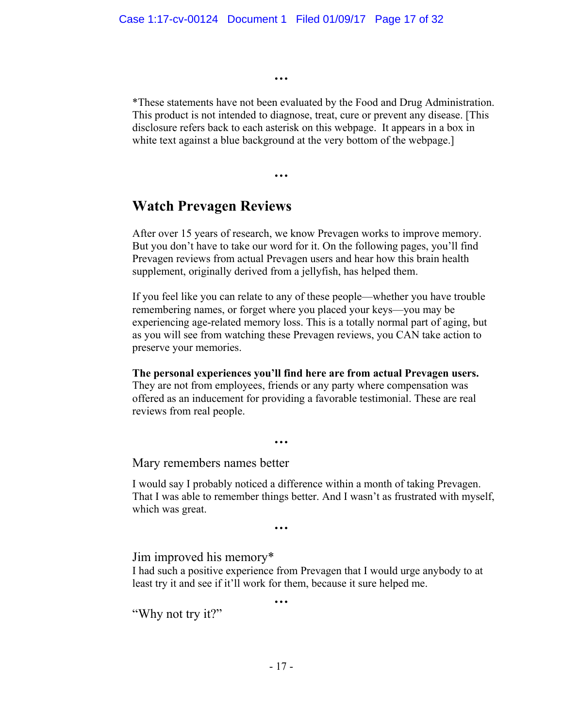**…**

**…**

\*These statements have not been evaluated by the Food and Drug Administration. This product is not intended to diagnose, treat, cure or prevent any disease. [This disclosure refers back to each asterisk on this webpage. It appears in a box in white text against a blue background at the very bottom of the webpage.

# **Watch Prevagen Reviews**

After over 15 years of research, we know Prevagen works to improve memory. But you don't have to take our word for it. On the following pages, you'll find Prevagen reviews from actual Prevagen users and hear how this brain health supplement, originally derived from a jellyfish, has helped them.

If you feel like you can relate to any of these people—whether you have trouble remembering names, or forget where you placed your keys—you may be experiencing age-related memory loss. This is a totally normal part of aging, but as you will see from watching these Prevagen reviews, you CAN take action to preserve your memories.

**The personal experiences you'll find here are from actual Prevagen users.**  They are not from employees, friends or any party where compensation was offered as an inducement for providing a favorable testimonial. These are real reviews from real people.

**…** 

Mary remembers names better

I would say I probably noticed a difference within a month of taking Prevagen. That I was able to remember things better. And I wasn't as frustrated with myself, which was great.

**…** 

Jim improved his memory\*

I had such a positive experience from Prevagen that I would urge anybody to at least try it and see if it'll work for them, because it sure helped me.

**…**

"Why not try it?"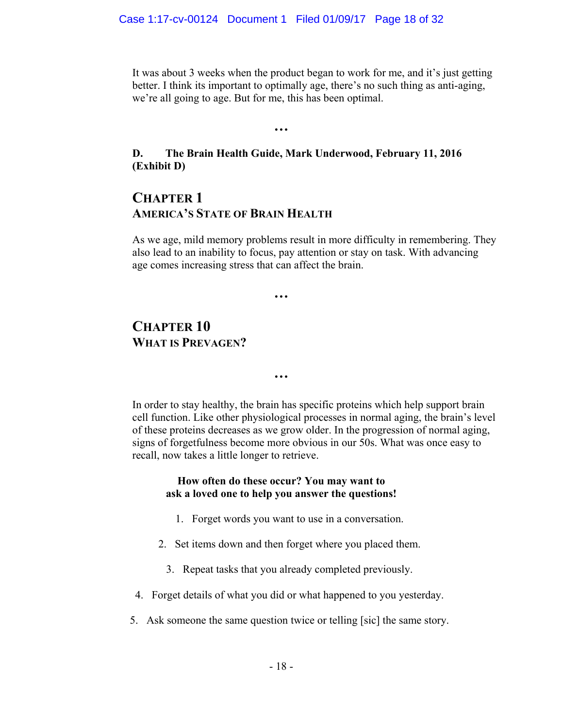It was about 3 weeks when the product began to work for me, and it's just getting better. I think its important to optimally age, there's no such thing as anti-aging, we're all going to age. But for me, this has been optimal.

# **D. The Brain Health Guide, Mark Underwood, February 11, 2016 (Exhibit D)**

**…**

# **CHAPTER 1 AMERICA'S STATE OF BRAIN HEALTH**

As we age, mild memory problems result in more difficulty in remembering. They also lead to an inability to focus, pay attention or stay on task. With advancing age comes increasing stress that can affect the brain.

**…** 

# **CHAPTER 10 WHAT IS PREVAGEN?**

**…** 

In order to stay healthy, the brain has specific proteins which help support brain cell function. Like other physiological processes in normal aging, the brain's level of these proteins decreases as we grow older. In the progression of normal aging, signs of forgetfulness become more obvious in our 50s. What was once easy to recall, now takes a little longer to retrieve.

### **How often do these occur? You may want to ask a loved one to help you answer the questions!**

- 1. Forget words you want to use in a conversation.
- 2. Set items down and then forget where you placed them.
	- 3. Repeat tasks that you already completed previously.
- 4. Forget details of what you did or what happened to you yesterday.
- 5. Ask someone the same question twice or telling [sic] the same story.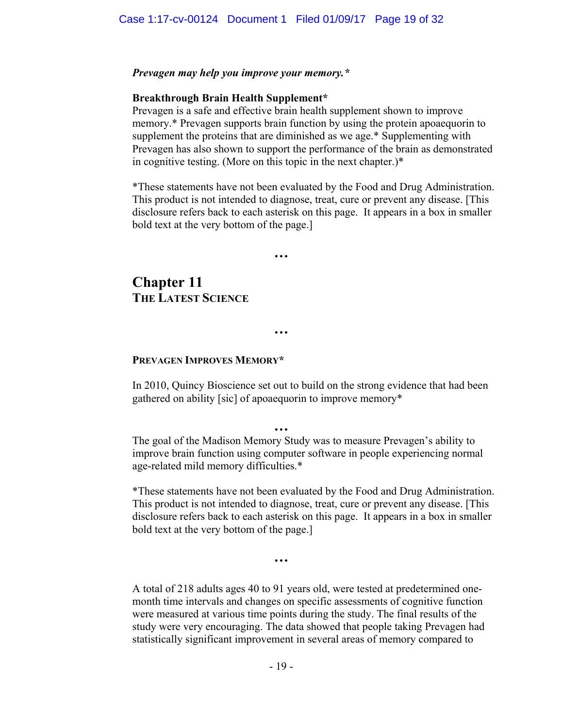### *Prevagen may help you improve your memory.\**

### **Breakthrough Brain Health Supplement\***

Prevagen is a safe and effective brain health supplement shown to improve memory.\* Prevagen supports brain function by using the protein apoaequorin to supplement the proteins that are diminished as we age.\* Supplementing with Prevagen has also shown to support the performance of the brain as demonstrated in cognitive testing. (More on this topic in the next chapter.)\*

\*These statements have not been evaluated by the Food and Drug Administration. This product is not intended to diagnose, treat, cure or prevent any disease. [This disclosure refers back to each asterisk on this page. It appears in a box in smaller bold text at the very bottom of the page.]

**Chapter 11 THE LATEST SCIENCE** 

### **PREVAGEN IMPROVES MEMORY\***

In 2010, Quincy Bioscience set out to build on the strong evidence that had been gathered on ability [sic] of apoaequorin to improve memory\*

**…**

**…** 

**…** 

The goal of the Madison Memory Study was to measure Prevagen's ability to improve brain function using computer software in people experiencing normal age-related mild memory difficulties.\*

\*These statements have not been evaluated by the Food and Drug Administration. This product is not intended to diagnose, treat, cure or prevent any disease. [This disclosure refers back to each asterisk on this page. It appears in a box in smaller bold text at the very bottom of the page.]

**…** 

A total of 218 adults ages 40 to 91 years old, were tested at predetermined onemonth time intervals and changes on specific assessments of cognitive function were measured at various time points during the study. The final results of the study were very encouraging. The data showed that people taking Prevagen had statistically significant improvement in several areas of memory compared to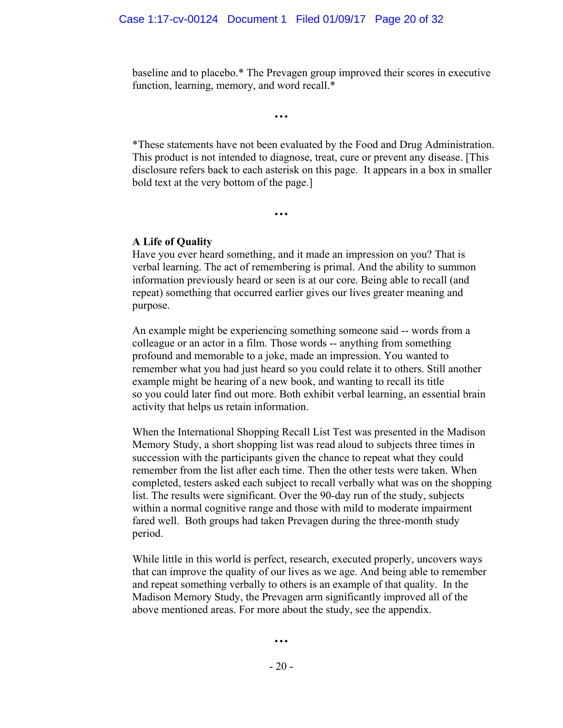baseline and to placebo.\* The Prevagen group improved their scores in executive function, learning, memory, and word recall.\*

**…** 

\*These statements have not been evaluated by the Food and Drug Administration. This product is not intended to diagnose, treat, cure or prevent any disease. [This disclosure refers back to each asterisk on this page. It appears in a box in smaller bold text at the very bottom of the page.]

**…** 

### **A Life of Quality**

Have you ever heard something, and it made an impression on you? That is verbal learning. The act of remembering is primal. And the ability to summon information previously heard or seen is at our core. Being able to recall (and repeat) something that occurred earlier gives our lives greater meaning and purpose.

An example might be experiencing something someone said -- words from a colleague or an actor in a film. Those words -- anything from something profound and memorable to a joke, made an impression. You wanted to remember what you had just heard so you could relate it to others. Still another example might be hearing of a new book, and wanting to recall its title so you could later find out more. Both exhibit verbal learning, an essential brain activity that helps us retain information.

When the International Shopping Recall List Test was presented in the Madison Memory Study, a short shopping list was read aloud to subjects three times in succession with the participants given the chance to repeat what they could remember from the list after each time. Then the other tests were taken. When completed, testers asked each subject to recall verbally what was on the shopping list. The results were significant. Over the 90-day run of the study, subjects within a normal cognitive range and those with mild to moderate impairment fared well. Both groups had taken Prevagen during the three-month study period.

While little in this world is perfect, research, executed properly, uncovers ways that can improve the quality of our lives as we age. And being able to remember and repeat something verbally to others is an example of that quality. In the Madison Memory Study, the Prevagen arm significantly improved all of the above mentioned areas. For more about the study, see the appendix.

**…** 

- 20 -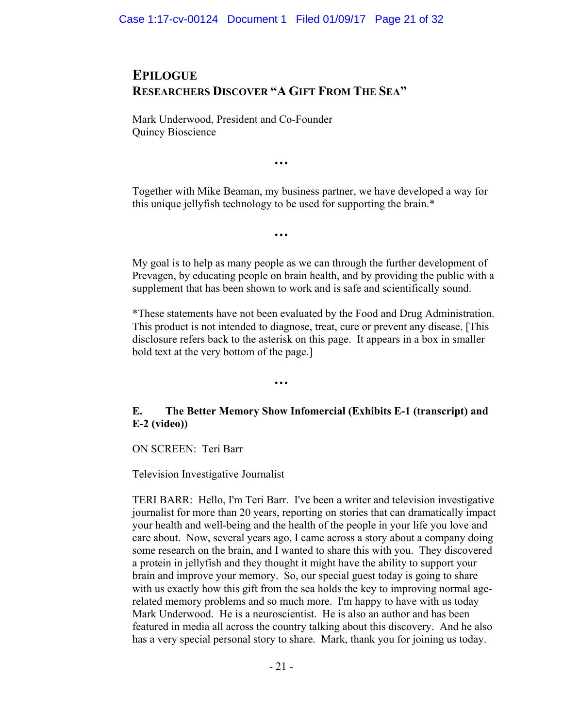# **EPILOGUE RESEARCHERS DISCOVER "A GIFT FROM THE SEA"**

Mark Underwood, President and Co-Founder Quincy Bioscience

**…** 

**…** 

**…** 

Together with Mike Beaman, my business partner, we have developed a way for this unique jellyfish technology to be used for supporting the brain.\*

My goal is to help as many people as we can through the further development of Prevagen, by educating people on brain health, and by providing the public with a supplement that has been shown to work and is safe and scientifically sound.

\*These statements have not been evaluated by the Food and Drug Administration. This product is not intended to diagnose, treat, cure or prevent any disease. [This disclosure refers back to the asterisk on this page. It appears in a box in smaller bold text at the very bottom of the page.]

# **E. The Better Memory Show Infomercial (Exhibits E-1 (transcript) and E-2 (video))**

ON SCREEN: Teri Barr

Television Investigative Journalist

TERI BARR: Hello, I'm Teri Barr. I've been a writer and television investigative journalist for more than 20 years, reporting on stories that can dramatically impact your health and well-being and the health of the people in your life you love and care about. Now, several years ago, I came across a story about a company doing some research on the brain, and I wanted to share this with you. They discovered a protein in jellyfish and they thought it might have the ability to support your brain and improve your memory. So, our special guest today is going to share with us exactly how this gift from the sea holds the key to improving normal agerelated memory problems and so much more. I'm happy to have with us today Mark Underwood. He is a neuroscientist. He is also an author and has been featured in media all across the country talking about this discovery. And he also has a very special personal story to share. Mark, thank you for joining us today.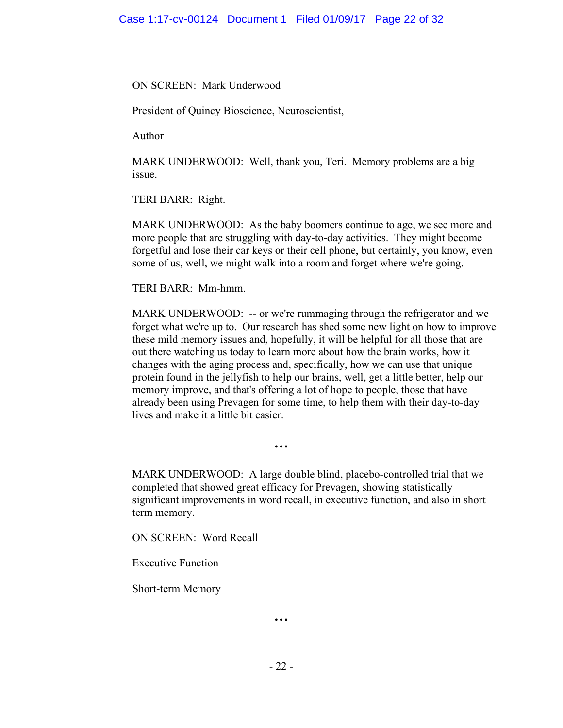### ON SCREEN: Mark Underwood

President of Quincy Bioscience, Neuroscientist,

Author

MARK UNDERWOOD: Well, thank you, Teri. Memory problems are a big issue.

TERI BARR: Right.

MARK UNDERWOOD: As the baby boomers continue to age, we see more and more people that are struggling with day-to-day activities. They might become forgetful and lose their car keys or their cell phone, but certainly, you know, even some of us, well, we might walk into a room and forget where we're going.

TERI BARR: Mm-hmm.

MARK UNDERWOOD: -- or we're rummaging through the refrigerator and we forget what we're up to. Our research has shed some new light on how to improve these mild memory issues and, hopefully, it will be helpful for all those that are out there watching us today to learn more about how the brain works, how it changes with the aging process and, specifically, how we can use that unique protein found in the jellyfish to help our brains, well, get a little better, help our memory improve, and that's offering a lot of hope to people, those that have already been using Prevagen for some time, to help them with their day-to-day lives and make it a little bit easier.

MARK UNDERWOOD: A large double blind, placebo-controlled trial that we completed that showed great efficacy for Prevagen, showing statistically significant improvements in word recall, in executive function, and also in short term memory.

ON SCREEN: Word Recall

Executive Function

Short-term Memory

**…**

**…**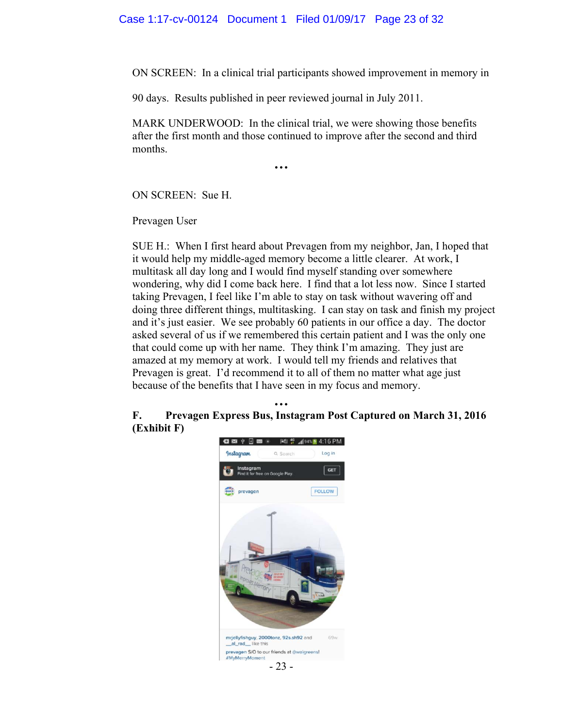ON SCREEN: In a clinical trial participants showed improvement in memory in

90 days. Results published in peer reviewed journal in July 2011.

**…** 

MARK UNDERWOOD: In the clinical trial, we were showing those benefits after the first month and those continued to improve after the second and third months.

ON SCREEN: Sue H.

Prevagen User

SUE H.: When I first heard about Prevagen from my neighbor, Jan, I hoped that it would help my middle-aged memory become a little clearer. At work, I multitask all day long and I would find myself standing over somewhere wondering, why did I come back here. I find that a lot less now. Since I started taking Prevagen, I feel like I'm able to stay on task without wavering off and doing three different things, multitasking. I can stay on task and finish my project and it's just easier. We see probably 60 patients in our office a day. The doctor asked several of us if we remembered this certain patient and I was the only one that could come up with her name. They think I'm amazing. They just are amazed at my memory at work. I would tell my friends and relatives that Prevagen is great. I'd recommend it to all of them no matter what age just because of the benefits that I have seen in my focus and memory.

**… F. Prevagen Express Bus, Instagram Post Captured on March 31, 2016 (Exhibit F)** 

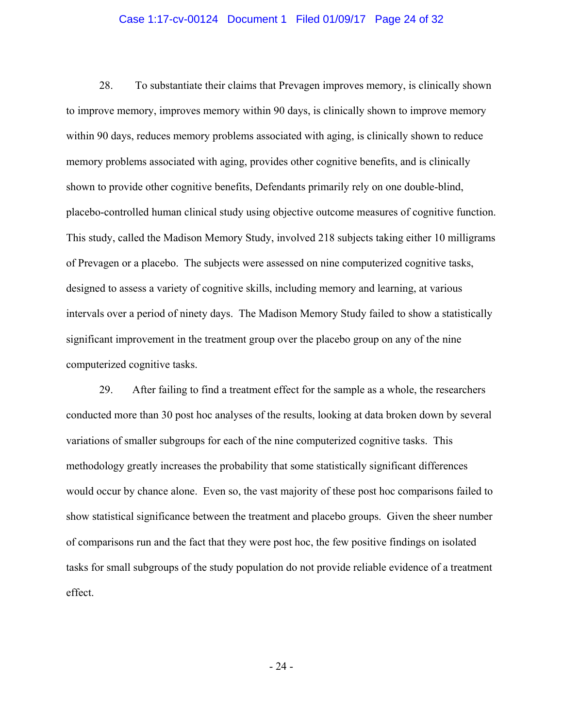### Case 1:17-cv-00124 Document 1 Filed 01/09/17 Page 24 of 32

 28. To substantiate their claims that Prevagen improves memory, is clinically shown to improve memory, improves memory within 90 days, is clinically shown to improve memory within 90 days, reduces memory problems associated with aging, is clinically shown to reduce memory problems associated with aging, provides other cognitive benefits, and is clinically shown to provide other cognitive benefits, Defendants primarily rely on one double-blind, placebo-controlled human clinical study using objective outcome measures of cognitive function. This study, called the Madison Memory Study, involved 218 subjects taking either 10 milligrams of Prevagen or a placebo. The subjects were assessed on nine computerized cognitive tasks, designed to assess a variety of cognitive skills, including memory and learning, at various intervals over a period of ninety days. The Madison Memory Study failed to show a statistically significant improvement in the treatment group over the placebo group on any of the nine computerized cognitive tasks.

29. After failing to find a treatment effect for the sample as a whole, the researchers conducted more than 30 post hoc analyses of the results, looking at data broken down by several variations of smaller subgroups for each of the nine computerized cognitive tasks. This methodology greatly increases the probability that some statistically significant differences would occur by chance alone. Even so, the vast majority of these post hoc comparisons failed to show statistical significance between the treatment and placebo groups. Given the sheer number of comparisons run and the fact that they were post hoc, the few positive findings on isolated tasks for small subgroups of the study population do not provide reliable evidence of a treatment effect.

- 24 -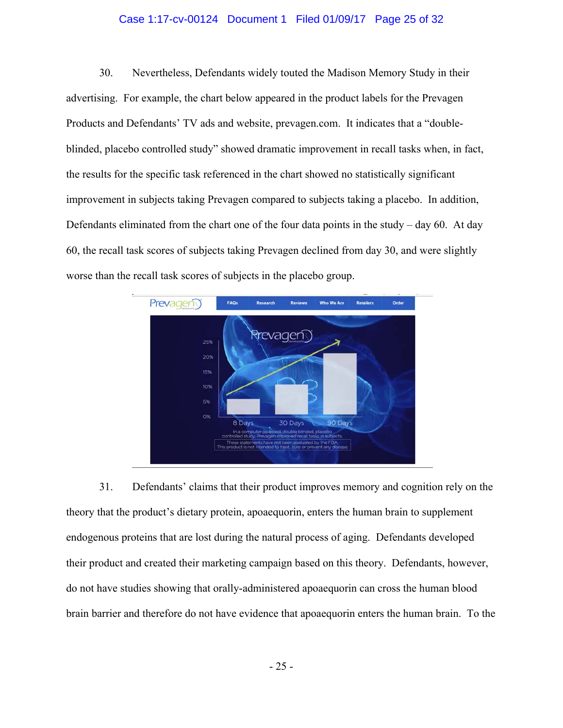### Case 1:17-cv-00124 Document 1 Filed 01/09/17 Page 25 of 32

30. Nevertheless, Defendants widely touted the Madison Memory Study in their advertising. For example, the chart below appeared in the product labels for the Prevagen Products and Defendants' TV ads and website, prevagen.com. It indicates that a "doubleblinded, placebo controlled study" showed dramatic improvement in recall tasks when, in fact, the results for the specific task referenced in the chart showed no statistically significant improvement in subjects taking Prevagen compared to subjects taking a placebo. In addition, Defendants eliminated from the chart one of the four data points in the study – day 60. At day 60, the recall task scores of subjects taking Prevagen declined from day 30, and were slightly worse than the recall task scores of subjects in the placebo group.



31. Defendants' claims that their product improves memory and cognition rely on the theory that the product's dietary protein, apoaequorin, enters the human brain to supplement endogenous proteins that are lost during the natural process of aging. Defendants developed their product and created their marketing campaign based on this theory. Defendants, however, do not have studies showing that orally-administered apoaequorin can cross the human blood brain barrier and therefore do not have evidence that apoaequorin enters the human brain. To the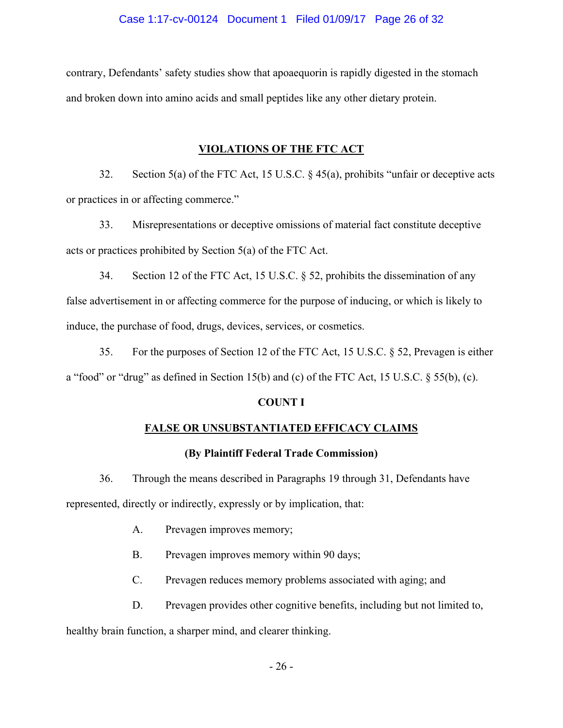contrary, Defendants' safety studies show that apoaequorin is rapidly digested in the stomach and broken down into amino acids and small peptides like any other dietary protein.

## **VIOLATIONS OF THE FTC ACT**

32. Section 5(a) of the FTC Act, 15 U.S.C. § 45(a), prohibits "unfair or deceptive acts or practices in or affecting commerce."

33. Misrepresentations or deceptive omissions of material fact constitute deceptive acts or practices prohibited by Section 5(a) of the FTC Act.

34. Section 12 of the FTC Act, 15 U.S.C. § 52, prohibits the dissemination of any false advertisement in or affecting commerce for the purpose of inducing, or which is likely to induce, the purchase of food, drugs, devices, services, or cosmetics.

35. For the purposes of Section 12 of the FTC Act, 15 U.S.C. § 52, Prevagen is either a "food" or "drug" as defined in Section 15(b) and (c) of the FTC Act, 15 U.S.C. § 55(b), (c).

### **COUNT I**

## **FALSE OR UNSUBSTANTIATED EFFICACY CLAIMS**

### **(By Plaintiff Federal Trade Commission)**

36. Through the means described in Paragraphs 19 through 31, Defendants have

represented, directly or indirectly, expressly or by implication, that:

- A. Prevagen improves memory;
- B. Prevagen improves memory within 90 days;
- C. Prevagen reduces memory problems associated with aging; and
- D. Prevagen provides other cognitive benefits, including but not limited to,

healthy brain function, a sharper mind, and clearer thinking.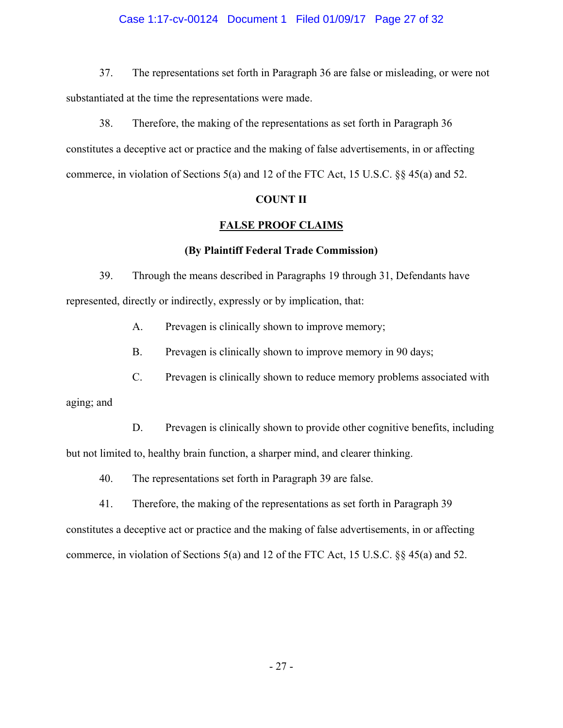### Case 1:17-cv-00124 Document 1 Filed 01/09/17 Page 27 of 32

 37. The representations set forth in Paragraph 36 are false or misleading, or were not substantiated at the time the representations were made.

38. Therefore, the making of the representations as set forth in Paragraph 36 constitutes a deceptive act or practice and the making of false advertisements, in or affecting commerce, in violation of Sections 5(a) and 12 of the FTC Act, 15 U.S.C. §§ 45(a) and 52.

### **COUNT II**

### **FALSE PROOF CLAIMS**

### **(By Plaintiff Federal Trade Commission)**

39. Through the means described in Paragraphs 19 through 31, Defendants have represented, directly or indirectly, expressly or by implication, that:

A. Prevagen is clinically shown to improve memory;

B. Prevagen is clinically shown to improve memory in 90 days;

C. Prevagen is clinically shown to reduce memory problems associated with

aging; and

D. Prevagen is clinically shown to provide other cognitive benefits, including but not limited to, healthy brain function, a sharper mind, and clearer thinking.

40. The representations set forth in Paragraph 39 are false.

41. Therefore, the making of the representations as set forth in Paragraph 39 constitutes a deceptive act or practice and the making of false advertisements, in or affecting commerce, in violation of Sections 5(a) and 12 of the FTC Act, 15 U.S.C. §§ 45(a) and 52.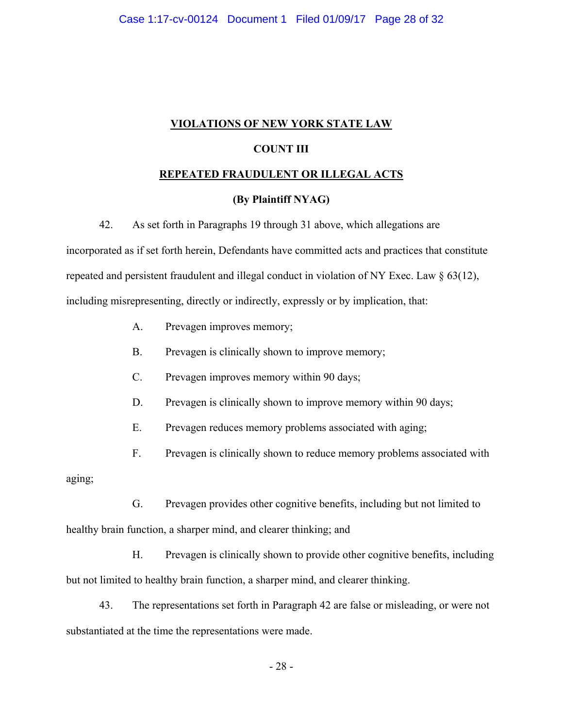### **VIOLATIONS OF NEW YORK STATE LAW**

### **COUNT III**

### **REPEATED FRAUDULENT OR ILLEGAL ACTS**

### **(By Plaintiff NYAG)**

42. As set forth in Paragraphs 19 through 31 above, which allegations are

incorporated as if set forth herein, Defendants have committed acts and practices that constitute repeated and persistent fraudulent and illegal conduct in violation of NY Exec. Law § 63(12), including misrepresenting, directly or indirectly, expressly or by implication, that:

- A. Prevagen improves memory;
- B. Prevagen is clinically shown to improve memory;
- C. Prevagen improves memory within 90 days;
- D. Prevagen is clinically shown to improve memory within 90 days;
- E. Prevagen reduces memory problems associated with aging;
- F. Prevagen is clinically shown to reduce memory problems associated with

aging;

 G. Prevagen provides other cognitive benefits, including but not limited to healthy brain function, a sharper mind, and clearer thinking; and

 H. Prevagen is clinically shown to provide other cognitive benefits, including but not limited to healthy brain function, a sharper mind, and clearer thinking.

43. The representations set forth in Paragraph 42 are false or misleading, or were not substantiated at the time the representations were made.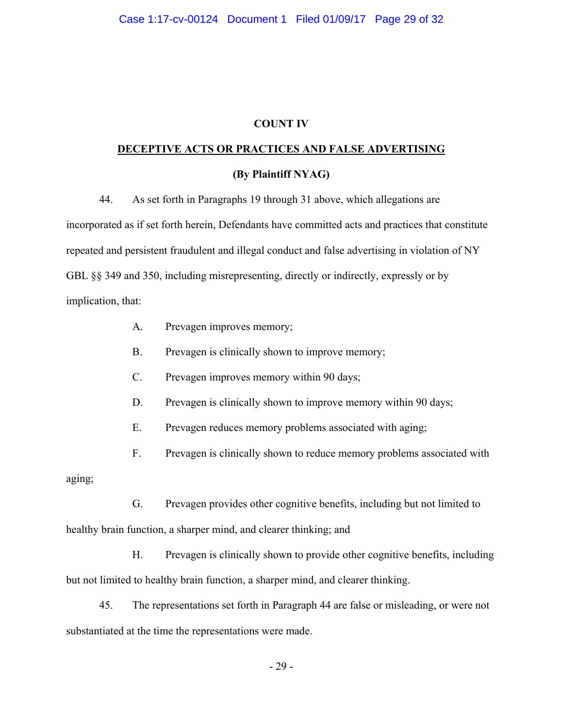### **COUNT IV**

# **DECEPTIVE ACTS OR PRACTICES AND FALSE ADVERTISING**

# **(By Plaintiff NYAG)**

44. As set forth in Paragraphs 19 through 31 above, which allegations are incorporated as if set forth herein, Defendants have committed acts and practices that constitute repeated and persistent fraudulent and illegal conduct and false advertising in violation of NY GBL §§ 349 and 350, including misrepresenting, directly or indirectly, expressly or by implication, that:

- A. Prevagen improves memory;
- B. Prevagen is clinically shown to improve memory;
- C. Prevagen improves memory within 90 days;
- D. Prevagen is clinically shown to improve memory within 90 days;
- E. Prevagen reduces memory problems associated with aging;
- F. Prevagen is clinically shown to reduce memory problems associated with

aging;

 G. Prevagen provides other cognitive benefits, including but not limited to healthy brain function, a sharper mind, and clearer thinking; and

 H. Prevagen is clinically shown to provide other cognitive benefits, including but not limited to healthy brain function, a sharper mind, and clearer thinking.

45. The representations set forth in Paragraph 44 are false or misleading, or were not substantiated at the time the representations were made.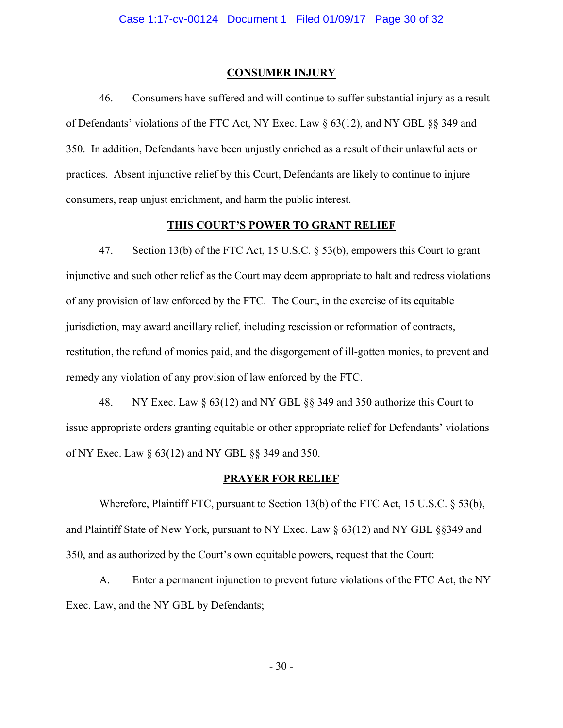### **CONSUMER INJURY**

46. Consumers have suffered and will continue to suffer substantial injury as a result of Defendants' violations of the FTC Act, NY Exec. Law § 63(12), and NY GBL §§ 349 and 350. In addition, Defendants have been unjustly enriched as a result of their unlawful acts or practices. Absent injunctive relief by this Court, Defendants are likely to continue to injure consumers, reap unjust enrichment, and harm the public interest.

### **THIS COURT'S POWER TO GRANT RELIEF**

47. Section 13(b) of the FTC Act, 15 U.S.C. § 53(b), empowers this Court to grant injunctive and such other relief as the Court may deem appropriate to halt and redress violations of any provision of law enforced by the FTC. The Court, in the exercise of its equitable jurisdiction, may award ancillary relief, including rescission or reformation of contracts, restitution, the refund of monies paid, and the disgorgement of ill-gotten monies, to prevent and remedy any violation of any provision of law enforced by the FTC.

48. NY Exec. Law § 63(12) and NY GBL §§ 349 and 350 authorize this Court to issue appropriate orders granting equitable or other appropriate relief for Defendants' violations of NY Exec. Law § 63(12) and NY GBL §§ 349 and 350.

#### **PRAYER FOR RELIEF**

Wherefore, Plaintiff FTC, pursuant to Section 13(b) of the FTC Act, 15 U.S.C. § 53(b), and Plaintiff State of New York, pursuant to NY Exec. Law § 63(12) and NY GBL §§349 and 350, and as authorized by the Court's own equitable powers, request that the Court:

A. Enter a permanent injunction to prevent future violations of the FTC Act, the NY Exec. Law, and the NY GBL by Defendants;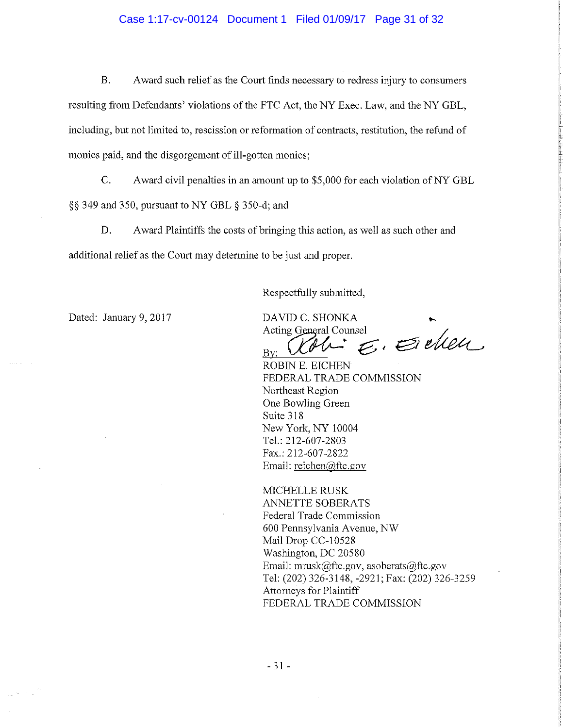### Case 1:17-cv-00124 Document 1 Filed 01/09/17 Page 31 of 32

Award such relief as the Court finds necessary to redress injury to consumers Β. resulting from Defendants' violations of the FTC Act, the NY Exec. Law, and the NY GBL, including, but not limited to, rescission or reformation of contracts, restitution, the refund of monies paid, and the disgorgement of ill-gotten monies;

 $C_{\cdot}$ Award civil penalties in an amount up to \$5,000 for each violation of NY GBL §§ 349 and 350, pursuant to NY GBL § 350-d; and

D. Award Plaintiffs the costs of bringing this action, as well as such other and additional relief as the Court may determine to be just and proper.

Respectfully submitted,

Dated: January 9, 2017

and a

 $\frac{1}{\pi} \left( \frac{1}{\lambda} \right)^{1/2} \left( \frac{1}{\lambda} \right)^{1/2}$ 

DAVID C. SHONKA Acting General Counsel

 $\varepsilon$ . Evelen

 $Bv:$ ROBIN E. EICHEN FEDERAL TRADE COMMISSION Northeast Region One Bowling Green Suite 318 New York, NY 10004 Tel.: 212-607-2803 Fax.: 212-607-2822 Email: reichen@ftc.gov

MICHELLE RUSK **ANNETTE SOBERATS** Federal Trade Commission 600 Pennsylvania Avenue, NW Mail Drop CC-10528 Washington, DC 20580 Email: mrusk@ftc.gov, asoberats@ftc.gov Tel: (202) 326-3148, -2921; Fax: (202) 326-3259 Attorneys for Plaintiff FEDERAL TRADE COMMISSION